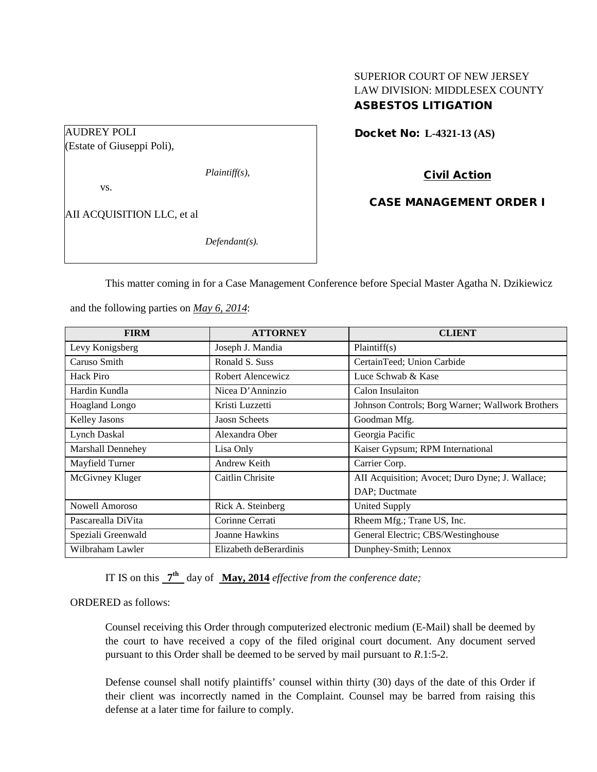# SUPERIOR COURT OF NEW JERSEY LAW DIVISION: MIDDLESEX COUNTY ASBESTOS LITIGATION

### Docket No: **L-4321-13 (AS)**

(Estate of Giuseppi Poli),

*Plaintiff(s),*

vs.

AUDREY POLI

AII ACQUISITION LLC, et al

*Defendant(s).*

Civil Action

CASE MANAGEMENT ORDER I

This matter coming in for a Case Management Conference before Special Master Agatha N. Dzikiewicz

and the following parties on *May 6, 2014*:

| <b>FIRM</b>           | <b>ATTORNEY</b>        | <b>CLIENT</b>                                    |
|-----------------------|------------------------|--------------------------------------------------|
| Levy Konigsberg       | Joseph J. Mandia       | Plaintiff(s)                                     |
| Caruso Smith          | Ronald S. Suss         | CertainTeed; Union Carbide                       |
| <b>Hack Piro</b>      | Robert Alencewicz      | Luce Schwab & Kase                               |
| Hardin Kundla         | Nicea D'Anninzio       | Calon Insulaiton                                 |
| <b>Hoagland Longo</b> | Kristi Luzzetti        | Johnson Controls; Borg Warner; Wallwork Brothers |
| <b>Kelley Jasons</b>  | <b>Jaosn Scheets</b>   | Goodman Mfg.                                     |
| Lynch Daskal          | Alexandra Ober         | Georgia Pacific                                  |
| Marshall Dennehey     | Lisa Only              | Kaiser Gypsum; RPM International                 |
| Mayfield Turner       | Andrew Keith           | Carrier Corp.                                    |
| McGivney Kluger       | Caitlin Chrisite       | AII Acquisition; Avocet; Duro Dyne; J. Wallace;  |
|                       |                        | DAP; Ductmate                                    |
| Nowell Amoroso        | Rick A. Steinberg      | <b>United Supply</b>                             |
| Pascarealla DiVita    | Corinne Cerrati        | Rheem Mfg.; Trane US, Inc.                       |
| Speziali Greenwald    | Joanne Hawkins         | General Electric; CBS/Westinghouse               |
| Wilbraham Lawler      | Elizabeth deBerardinis | Dunphey-Smith; Lennox                            |

IT IS on this **7th** day of **May, 2014** *effective from the conference date;*

ORDERED as follows:

Counsel receiving this Order through computerized electronic medium (E-Mail) shall be deemed by the court to have received a copy of the filed original court document. Any document served pursuant to this Order shall be deemed to be served by mail pursuant to *R*.1:5-2.

Defense counsel shall notify plaintiffs' counsel within thirty (30) days of the date of this Order if their client was incorrectly named in the Complaint. Counsel may be barred from raising this defense at a later time for failure to comply.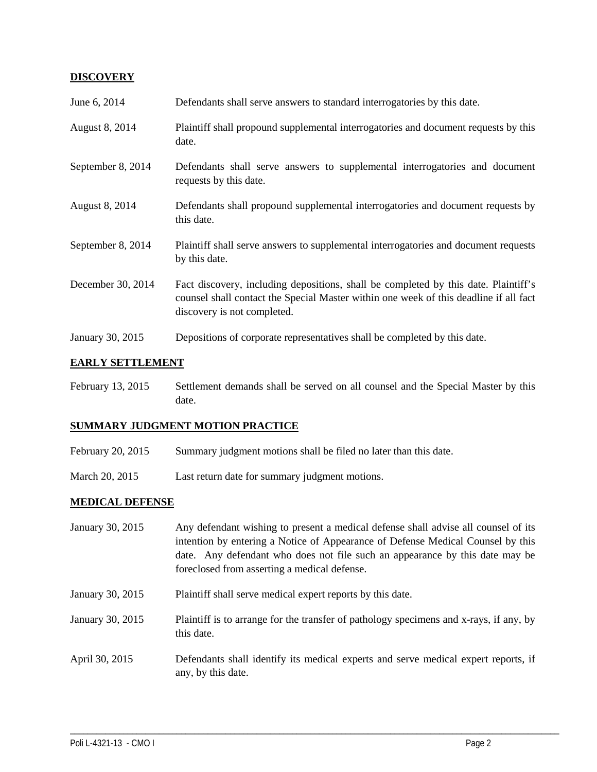### **DISCOVERY**

| June 6, 2014      | Defendants shall serve answers to standard interrogatories by this date.                                                                                                                                    |
|-------------------|-------------------------------------------------------------------------------------------------------------------------------------------------------------------------------------------------------------|
| August 8, 2014    | Plaintiff shall propound supplemental interrogatories and document requests by this<br>date.                                                                                                                |
| September 8, 2014 | Defendants shall serve answers to supplemental interrogatories and document<br>requests by this date.                                                                                                       |
| August 8, 2014    | Defendants shall propound supplemental interrogatories and document requests by<br>this date.                                                                                                               |
| September 8, 2014 | Plaintiff shall serve answers to supplemental interrogatories and document requests<br>by this date.                                                                                                        |
| December 30, 2014 | Fact discovery, including depositions, shall be completed by this date. Plaintiff's<br>counsel shall contact the Special Master within one week of this deadline if all fact<br>discovery is not completed. |
| January 30, 2015  | Depositions of corporate representatives shall be completed by this date.                                                                                                                                   |

# **EARLY SETTLEMENT**

February 13, 2015 Settlement demands shall be served on all counsel and the Special Master by this date.

# **SUMMARY JUDGMENT MOTION PRACTICE**

- February 20, 2015 Summary judgment motions shall be filed no later than this date.
- March 20, 2015 Last return date for summary judgment motions.

#### **MEDICAL DEFENSE**

| January 30, 2015 | Any defendant wishing to present a medical defense shall advise all counsel of its<br>intention by entering a Notice of Appearance of Defense Medical Counsel by this<br>date. Any defendant who does not file such an appearance by this date may be<br>foreclosed from asserting a medical defense. |
|------------------|-------------------------------------------------------------------------------------------------------------------------------------------------------------------------------------------------------------------------------------------------------------------------------------------------------|
| January 30, 2015 | Plaintiff shall serve medical expert reports by this date.                                                                                                                                                                                                                                            |
| January 30, 2015 | Plaintiff is to arrange for the transfer of pathology specimens and x-rays, if any, by<br>this date.                                                                                                                                                                                                  |
| April 30, 2015   | Defendants shall identify its medical experts and serve medical expert reports, if<br>any, by this date.                                                                                                                                                                                              |

\_\_\_\_\_\_\_\_\_\_\_\_\_\_\_\_\_\_\_\_\_\_\_\_\_\_\_\_\_\_\_\_\_\_\_\_\_\_\_\_\_\_\_\_\_\_\_\_\_\_\_\_\_\_\_\_\_\_\_\_\_\_\_\_\_\_\_\_\_\_\_\_\_\_\_\_\_\_\_\_\_\_\_\_\_\_\_\_\_\_\_\_\_\_\_\_\_\_\_\_\_\_\_\_\_\_\_\_\_\_